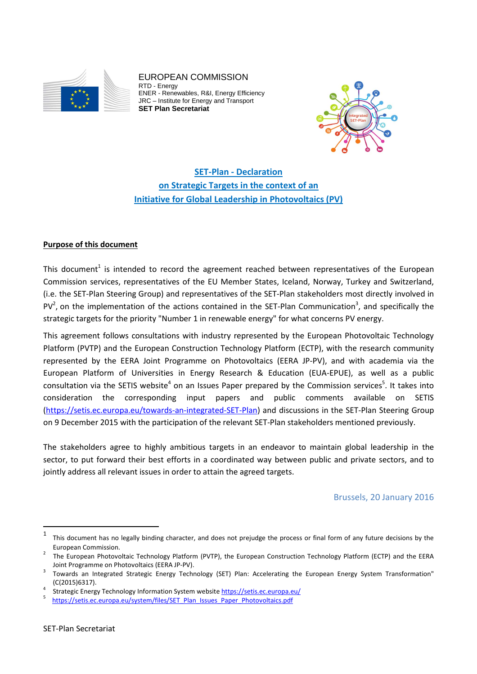

EUROPEAN COMMISSION RTD - Energy ENER - Renewables, R&I, Energy Efficiency JRC – Institute for Energy and Transport **SET Plan Secretariat** 



**SET-Plan - Declaration on Strategic Targets in the context of an Initiative for Global Leadership in Photovoltaics (PV)**

## **Purpose of this document**

This document<sup>1</sup> is intended to record the agreement reached between representatives of the European Commission services, representatives of the EU Member States, Iceland, Norway, Turkey and Switzerland, (i.e. the SET-Plan Steering Group) and representatives of the SET-Plan stakeholders most directly involved in PV<sup>2</sup>, on the implementation of the actions contained in the SET-Plan Communication<sup>3</sup>, and specifically the strategic targets for the priority "Number 1 in renewable energy" for what concerns PV energy.

This agreement follows consultations with industry represented by the European Photovoltaic Technology Platform (PVTP) and the European Construction Technology Platform (ECTP), with the research community represented by the EERA Joint Programme on Photovoltaics (EERA JP-PV), and with academia via the European Platform of Universities in Energy Research & Education (EUA-EPUE), as well as a public consultation via the SETIS website<sup>4</sup> on an Issues Paper prepared by the Commission services<sup>5</sup>. It takes into consideration the corresponding input papers and public comments available on SETIS (https://setis.ec.europa.eu/towards-an-integrated-SET-Plan) and discussions in the SET-Plan Steering Group on 9 December 2015 with the participation of the relevant SET-Plan stakeholders mentioned previously.

The stakeholders agree to highly ambitious targets in an endeavor to maintain global leadership in the sector, to put forward their best efforts in a coordinated way between public and private sectors, and to jointly address all relevant issues in order to attain the agreed targets.

Brussels, 20 January 2016

 $\overline{a}$ 

<sup>1</sup> This document has no legally binding character, and does not prejudge the process or final form of any future decisions by the European Commission. 2

 $2$  The European Photovoltaic Technology Platform (PVTP), the European Construction Technology Platform (ECTP) and the EERA Joint Programme on Photovoltaics (EERA JP-PV).

Towards an Integrated Strategic Energy Technology (SET) Plan: Accelerating the European Energy System Transformation" (C(2015)6317). 4

Strategic Energy Technology Information System website https://setis.ec.europa.eu/ <sup>5</sup>

https://setis.ec.europa.eu/system/files/SET\_Plan\_Issues\_Paper\_Photovoltaics.pdf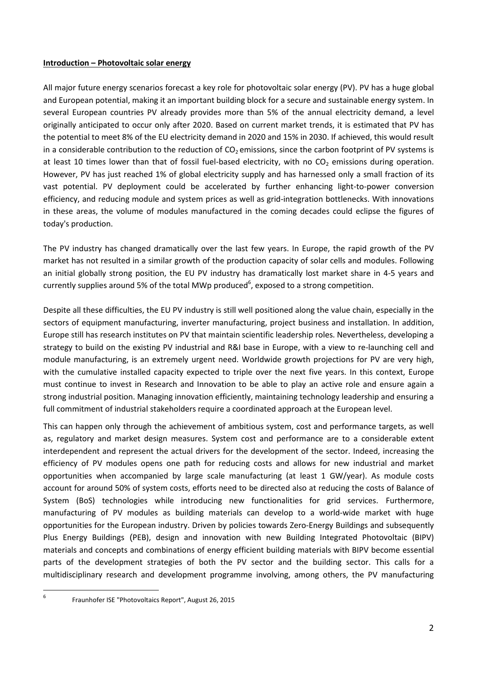#### **Introduction – Photovoltaic solar energy**

All major future energy scenarios forecast a key role for photovoltaic solar energy (PV). PV has a huge global and European potential, making it an important building block for a secure and sustainable energy system. In several European countries PV already provides more than 5% of the annual electricity demand, a level originally anticipated to occur only after 2020. Based on current market trends, it is estimated that PV has the potential to meet 8% of the EU electricity demand in 2020 and 15% in 2030. If achieved, this would result in a considerable contribution to the reduction of  $CO<sub>2</sub>$  emissions, since the carbon footprint of PV systems is at least 10 times lower than that of fossil fuel-based electricity, with no  $CO<sub>2</sub>$  emissions during operation. However, PV has just reached 1% of global electricity supply and has harnessed only a small fraction of its vast potential. PV deployment could be accelerated by further enhancing light-to-power conversion efficiency, and reducing module and system prices as well as grid-integration bottlenecks. With innovations in these areas, the volume of modules manufactured in the coming decades could eclipse the figures of today's production.

The PV industry has changed dramatically over the last few years. In Europe, the rapid growth of the PV market has not resulted in a similar growth of the production capacity of solar cells and modules. Following an initial globally strong position, the EU PV industry has dramatically lost market share in 4-5 years and currently supplies around 5% of the total MWp produced<sup>6</sup>, exposed to a strong competition.

Despite all these difficulties, the EU PV industry is still well positioned along the value chain, especially in the sectors of equipment manufacturing, inverter manufacturing, project business and installation. In addition, Europe still has research institutes on PV that maintain scientific leadership roles. Nevertheless, developing a strategy to build on the existing PV industrial and R&I base in Europe, with a view to re-launching cell and module manufacturing, is an extremely urgent need. Worldwide growth projections for PV are very high, with the cumulative installed capacity expected to triple over the next five years. In this context, Europe must continue to invest in Research and Innovation to be able to play an active role and ensure again a strong industrial position. Managing innovation efficiently, maintaining technology leadership and ensuring a full commitment of industrial stakeholders require a coordinated approach at the European level.

This can happen only through the achievement of ambitious system, cost and performance targets, as well as, regulatory and market design measures. System cost and performance are to a considerable extent interdependent and represent the actual drivers for the development of the sector. Indeed, increasing the efficiency of PV modules opens one path for reducing costs and allows for new industrial and market opportunities when accompanied by large scale manufacturing (at least 1 GW/year). As module costs account for around 50% of system costs, efforts need to be directed also at reducing the costs of Balance of System (BoS) technologies while introducing new functionalities for grid services. Furthermore, manufacturing of PV modules as building materials can develop to a world-wide market with huge opportunities for the European industry. Driven by policies towards Zero-Energy Buildings and subsequently Plus Energy Buildings (PEB), design and innovation with new Building Integrated Photovoltaic (BIPV) materials and concepts and combinations of energy efficient building materials with BIPV become essential parts of the development strategies of both the PV sector and the building sector. This calls for a multidisciplinary research and development programme involving, among others, the PV manufacturing

<sup>—&</sup>lt;br>6

Fraunhofer ISE "Photovoltaics Report", August 26, 2015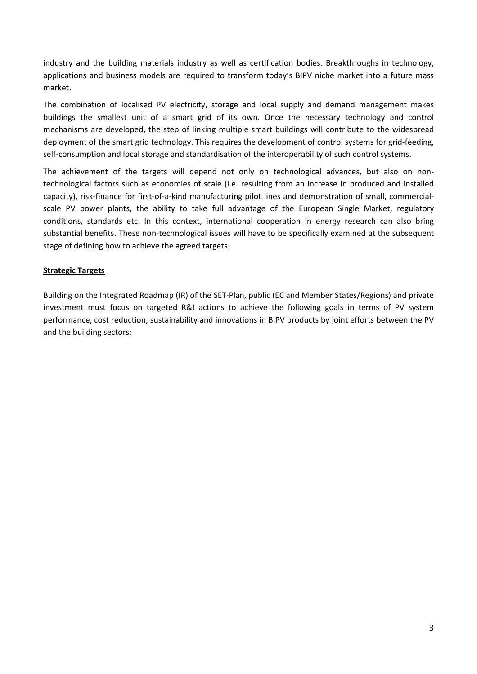industry and the building materials industry as well as certification bodies. Breakthroughs in technology, applications and business models are required to transform today's BIPV niche market into a future mass market.

The combination of localised PV electricity, storage and local supply and demand management makes buildings the smallest unit of a smart grid of its own. Once the necessary technology and control mechanisms are developed, the step of linking multiple smart buildings will contribute to the widespread deployment of the smart grid technology. This requires the development of control systems for grid-feeding, self-consumption and local storage and standardisation of the interoperability of such control systems.

The achievement of the targets will depend not only on technological advances, but also on nontechnological factors such as economies of scale (i.e. resulting from an increase in produced and installed capacity), risk-finance for first-of-a-kind manufacturing pilot lines and demonstration of small, commercialscale PV power plants, the ability to take full advantage of the European Single Market, regulatory conditions, standards etc. In this context, international cooperation in energy research can also bring substantial benefits. These non-technological issues will have to be specifically examined at the subsequent stage of defining how to achieve the agreed targets.

## **Strategic Targets**

Building on the Integrated Roadmap (IR) of the SET-Plan, public (EC and Member States/Regions) and private investment must focus on targeted R&I actions to achieve the following goals in terms of PV system performance, cost reduction, sustainability and innovations in BIPV products by joint efforts between the PV and the building sectors: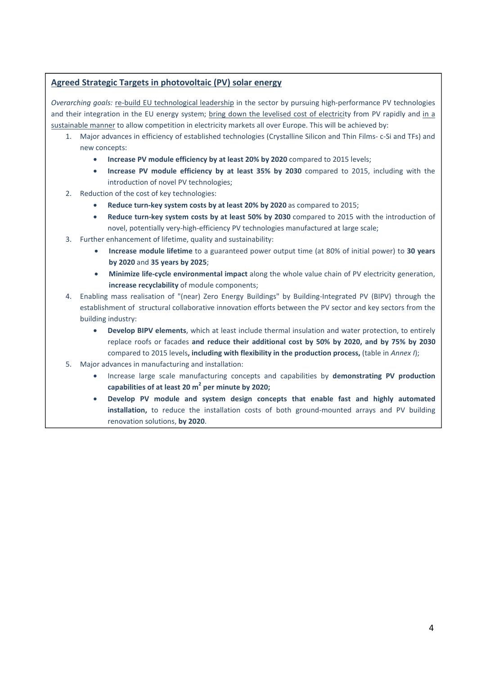# **Agreed Strategic Targets in photovoltaic (PV) solar energy**

*Overarching goals:* re-build EU technological leadership in the sector by pursuing high-performance PV technologies and their integration in the EU energy system; bring down the levelised cost of electricity from PV rapidly and in a sustainable manner to allow competition in electricity markets all over Europe. This will be achieved by:

- 1. Major advances in efficiency of established technologies (Crystalline Silicon and Thin Films- c-Si and TFs) and new concepts:
	- **Increase PV module efficiency by at least 20% by 2020** compared to 2015 levels;
	- **Increase PV module efficiency by at least 35% by 2030** compared to 2015, including with the introduction of novel PV technologies;
- 2. Reduction of the cost of key technologies:
	- **Reduce turn-key system costs by at least 20% by 2020** as compared to 2015;
	- **Reduce turn-key system costs by at least 50% by 2030** compared to 2015 with the introduction of novel, potentially very-high-efficiency PV technologies manufactured at large scale;
- 3. Further enhancement of lifetime, quality and sustainability:
	- **Increase module lifetime** to a guaranteed power output time (at 80% of initial power) to **30 years by 2020** and **35 years by 2025**;
	- **Minimize life-cycle environmental impact** along the whole value chain of PV electricity generation, **increase recyclability** of module components;
- 4. Enabling mass realisation of "(near) Zero Energy Buildings" by Building-Integrated PV (BIPV) through the establishment of structural collaborative innovation efforts between the PV sector and key sectors from the building industry:
	- **Develop BIPV elements**, which at least include thermal insulation and water protection, to entirely replace roofs or facades **and reduce their additional cost by 50% by 2020, and by 75% by 2030**  compared to 2015 levels**, including with flexibility in the production process,** (table in *Annex I*);
- 5. Major advances in manufacturing and installation:
	- Increase large scale manufacturing concepts and capabilities by **demonstrating PV production capabilities of at least 20 m<sup>2</sup> per minute by 2020;**
	- **Develop PV module and system design concepts that enable fast and highly automated installation,** to reduce the installation costs of both ground-mounted arrays and PV building renovation solutions, **by 2020**.